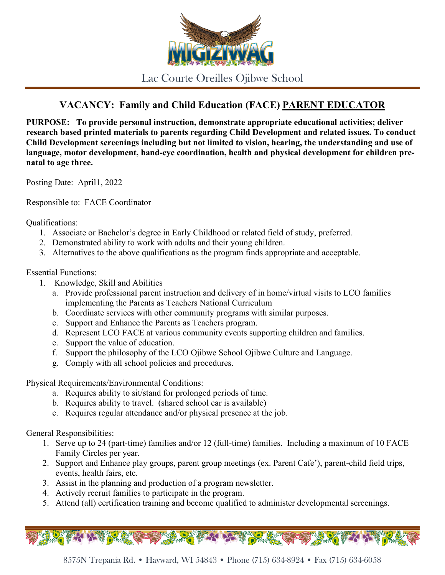

Lac Courte Oreilles Ojibwe School

## **VACANCY: Family and Child Education (FACE) PARENT EDUCATOR**

**PURPOSE: To provide personal instruction, demonstrate appropriate educational activities; deliver research based printed materials to parents regarding Child Development and related issues. To conduct Child Development screenings including but not limited to vision, hearing, the understanding and use of language, motor development, hand-eye coordination, health and physical development for children prenatal to age three.**

Posting Date: April1, 2022

Responsible to: FACE Coordinator

Qualifications:

- 1. Associate or Bachelor's degree in Early Childhood or related field of study, preferred.
- 2. Demonstrated ability to work with adults and their young children.
- 3. Alternatives to the above qualifications as the program finds appropriate and acceptable.

## Essential Functions:

- 1. Knowledge, Skill and Abilities
	- a. Provide professional parent instruction and delivery of in home/virtual visits to LCO families implementing the Parents as Teachers National Curriculum
	- b. Coordinate services with other community programs with similar purposes.
	- c. Support and Enhance the Parents as Teachers program.
	- d. Represent LCO FACE at various community events supporting children and families.
	- e. Support the value of education.
	- f. Support the philosophy of the LCO Ojibwe School Ojibwe Culture and Language.
	- g. Comply with all school policies and procedures.

Physical Requirements/Environmental Conditions:

- a. Requires ability to sit/stand for prolonged periods of time.
- b. Requires ability to travel. (shared school car is available)
- c. Requires regular attendance and/or physical presence at the job.

General Responsibilities:

- 1. Serve up to 24 (part-time) families and/or 12 (full-time) families. Including a maximum of 10 FACE Family Circles per year.
- 2. Support and Enhance play groups, parent group meetings (ex. Parent Cafe'), parent-child field trips, events, health fairs, etc.
- 3. Assist in the planning and production of a program newsletter.
- 4. Actively recruit families to participate in the program.
- 5. Attend (all) certification training and become qualified to administer developmental screenings.